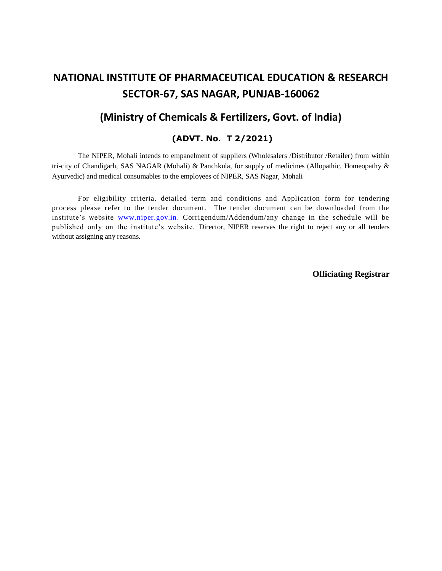# **NATIONAL INSTITUTE OF PHARMACEUTICAL EDUCATION & RESEARCH SECTOR-67, SAS NAGAR, PUNJAB-160062**

## **(Ministry of Chemicals & Fertilizers, Govt. of India)**

#### **(ADVT. No. T 2/2021)**

The NIPER, Mohali intends to empanelment of suppliers (Wholesalers /Distributor /Retailer) from within tri-city of Chandigarh, SAS NAGAR (Mohali) & Panchkula, for supply of medicines (Allopathic, Homeopathy & Ayurvedic) and medical consumables to the employees of NIPER, SAS Nagar, Mohali

For eligibility criteria, detailed term and conditions and Application form for tendering process please refer to the tender document. The tender document can be downloaded from the institute's website [www.niper.gov.in.](http://www.niper.gov.in/) Corrigendum/Addendum/any change in the schedule will be published only on the institute's website. Director, NIPER reserves the right to reject any or all tenders without assigning any reasons.

**Officiating Registrar**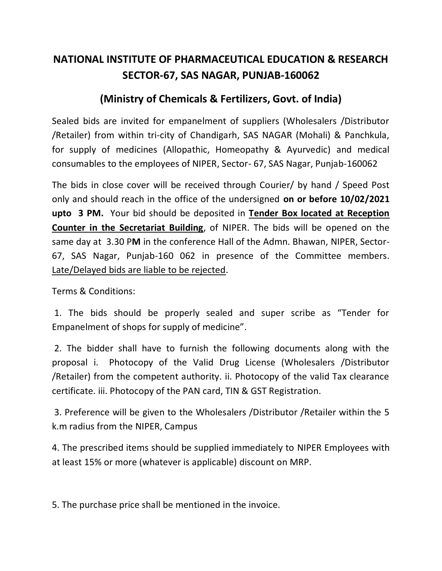# **NATIONAL INSTITUTE OF PHARMACEUTICAL EDUCATION & RESEARCH SECTOR-67, SAS NAGAR, PUNJAB-160062**

## **(Ministry of Chemicals & Fertilizers, Govt. of India)**

Sealed bids are invited for empanelment of suppliers (Wholesalers /Distributor /Retailer) from within tri-city of Chandigarh, SAS NAGAR (Mohali) & Panchkula, for supply of medicines (Allopathic, Homeopathy & Ayurvedic) and medical consumables to the employees of NIPER, Sector- 67, SAS Nagar, Punjab-160062

The bids in close cover will be received through Courier/ by hand / Speed Post only and should reach in the office of the undersigned **on or before 10/02/2021 upto 3 PM.** Your bid should be deposited in **Tender Box located at Reception Counter in the Secretariat Building**, of NIPER. The bids will be opened on the same day at 3.30 P**M** in the conference Hall of the Admn. Bhawan, NIPER, Sector-67, SAS Nagar, Punjab-160 062 in presence of the Committee members. Late/Delayed bids are liable to be rejected.

Terms & Conditions:

1. The bids should be properly sealed and super scribe as "Tender for Empanelment of shops for supply of medicine".

2. The bidder shall have to furnish the following documents along with the proposal i. Photocopy of the Valid Drug License (Wholesalers /Distributor /Retailer) from the competent authority. ii. Photocopy of the valid Tax clearance certificate. iii. Photocopy of the PAN card, TIN & GST Registration.

3. Preference will be given to the Wholesalers /Distributor /Retailer within the 5 k.m radius from the NIPER, Campus

4. The prescribed items should be supplied immediately to NIPER Employees with at least 15% or more (whatever is applicable) discount on MRP.

5. The purchase price shall be mentioned in the invoice.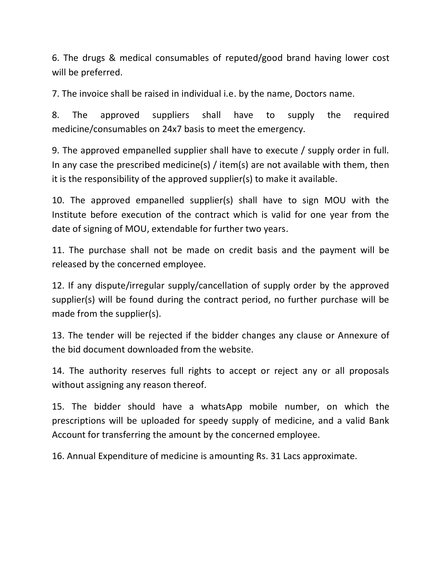6. The drugs & medical consumables of reputed/good brand having lower cost will be preferred.

7. The invoice shall be raised in individual i.e. by the name, Doctors name.

8. The approved suppliers shall have to supply the required medicine/consumables on 24x7 basis to meet the emergency.

9. The approved empanelled supplier shall have to execute / supply order in full. In any case the prescribed medicine(s) / item(s) are not available with them, then it is the responsibility of the approved supplier(s) to make it available.

10. The approved empanelled supplier(s) shall have to sign MOU with the Institute before execution of the contract which is valid for one year from the date of signing of MOU, extendable for further two years.

11. The purchase shall not be made on credit basis and the payment will be released by the concerned employee.

12. If any dispute/irregular supply/cancellation of supply order by the approved supplier(s) will be found during the contract period, no further purchase will be made from the supplier(s).

13. The tender will be rejected if the bidder changes any clause or Annexure of the bid document downloaded from the website.

14. The authority reserves full rights to accept or reject any or all proposals without assigning any reason thereof.

15. The bidder should have a whatsApp mobile number, on which the prescriptions will be uploaded for speedy supply of medicine, and a valid Bank Account for transferring the amount by the concerned employee.

16. Annual Expenditure of medicine is amounting Rs. 31 Lacs approximate.